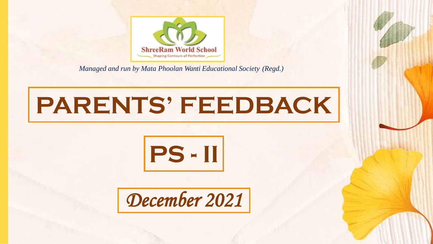

*Managed and run by Mata Phoolan Wanti Educational Society (Regd.)*

## **PARENTS' FEEDBACK**



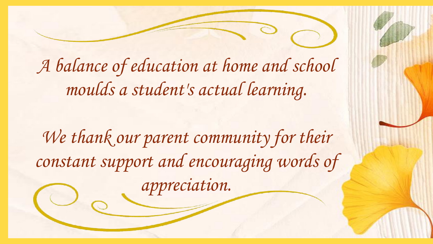*A balance of education at home and school moulds a student's actual learning.* 

We thank our parent community for their *constant support and encouraging words of appreciation.*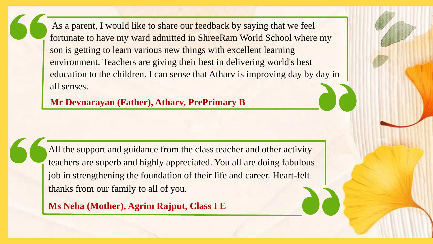As a parent, I would like to share our feedback by saying that we feel fortunate to have my ward admitted in ShreeRam World School where my son is getting to learn various new things with excellent learning environment. Teachers are giving their best in delivering world's best education to the children. I can sense that Atharv is improving day by day in all senses.

**Mr Devnarayan (Father), Atharv, PrePrimary B**

All the support and guidance from the class teacher and other activity teachers are superb and highly appreciated. You all are doing fabulous job in strengthening the foundation of their life and career. Heart-felt thanks from our family to all of you.

**Ms Neha (Mother), Agrim Rajput, Class I E**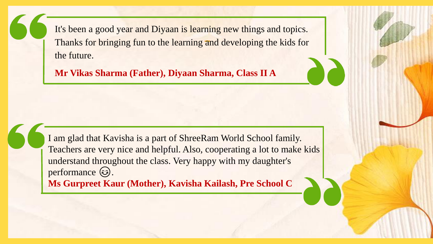It's been a good year and Diyaan is learning new things and topics. Thanks for bringing fun to the learning and developing the kids for the future.

**Mr Vikas Sharma (Father), Diyaan Sharma, Class II A**

I am glad that Kavisha is a part of ShreeRam World School family. Teachers are very nice and helpful. Also, cooperating a lot to make kids understand throughout the class. Very happy with my daughter's performance  $\circledast$ . **Ms Gurpreet Kaur (Mother), Kavisha Kailash, Pre School C**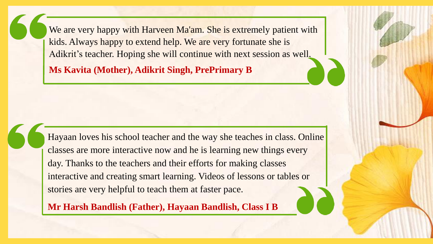We are very happy with Harveen Ma'am. She is extremely patient with kids. Always happy to extend help. We are very fortunate she is Adikrit's teacher. Hoping she will continue with next session as well.

**Ms Kavita (Mother), Adikrit Singh, PrePrimary B**

Hayaan loves his school teacher and the way she teaches in class. Online classes are more interactive now and he is learning new things every day. Thanks to the teachers and their efforts for making classes interactive and creating smart learning. Videos of lessons or tables or stories are very helpful to teach them at faster pace.

**Mr Harsh Bandlish (Father), Hayaan Bandlish, Class I B**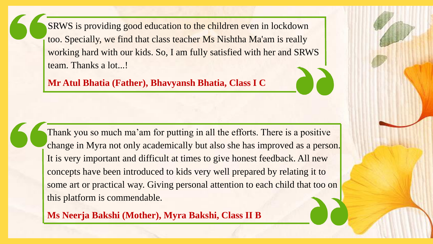SRWS is providing good education to the children even in lockdown too. Specially, we find that class teacher Ms Nishtha Ma'am is really working hard with our kids. So, I am fully satisfied with her and SRWS team. Thanks a lot...!

**Mr Atul Bhatia (Father), Bhavyansh Bhatia, Class I C**

Thank you so much ma'am for putting in all the efforts. There is a positive change in Myra not only academically but also she has improved as a person. It is very important and difficult at times to give honest feedback. All new concepts have been introduced to kids very well prepared by relating it to some art or practical way. Giving personal attention to each child that too on this platform is commendable.

**Ms Neerja Bakshi (Mother), Myra Bakshi, Class II B**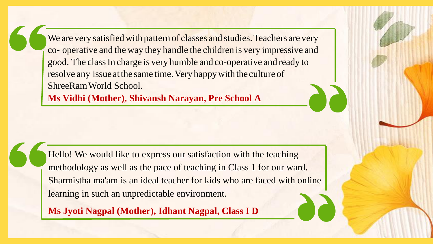We are very satisfied with pattern of classes and studies. Teachers are very co- operative and the way they handle the children is very impressive and good. The classIn charge is very humble and co-operative and ready to resolve any issue at the same time. Very happy with the culture of ShreeRamWorld School.

**Ms Vidhi (Mother), Shivansh Narayan, Pre School A**

Hello! We would like to express our satisfaction with the teaching methodology as well as the pace of teaching in Class 1 for our ward. Sharmistha ma'am is an ideal teacher for kids who are faced with online learning in such an unpredictable environment.

**Ms Jyoti Nagpal (Mother), Idhant Nagpal, Class I D**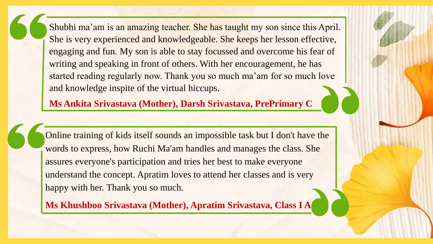Shubhi ma'am is an amazing teacher. She has taught my son since this April. She is very experienced and knowledgeable. She keeps her lesson effective, engaging and fun. My son is able to stay focussed and overcome his fear of writing and speaking in front of others. With her encouragement, he has started reading regularly now. Thank you so much ma'am for so much love and knowledge inspite of the virtual hiccups.

**Ms Ankita Srivastava (Mother), Darsh Srivastava, PrePrimary C**

Online training of kids itself sounds an impossible task but I don't have the words to express, how Ruchi Ma'am handles and manages the class. She assures everyone's participation and tries her best to make everyone understand the concept. Apratim loves to attend her classes and is very happy with her. Thank you so much.

**Ms Khushboo Srivastava (Mother), Apratim Srivastava, Class I A**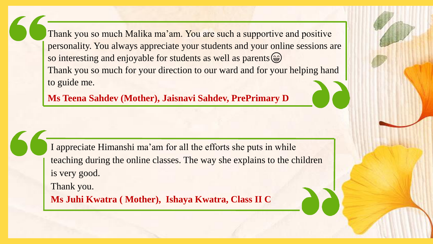Thank you so much Malika ma'am. You are such a supportive and positive personality. You always appreciate your students and your online sessions are so interesting and enjoyable for students as well as parents  $\circledast$ Thank you so much for your direction to our ward and for your helping hand to guide me.

**Ms Teena Sahdev (Mother), Jaisnavi Sahdev, PrePrimary D**

I appreciate Himanshi ma'am for all the efforts she puts in while teaching during the online classes. The way she explains to the children is very good. Thank you.

**Ms Juhi Kwatra ( Mother), Ishaya Kwatra, Class II C**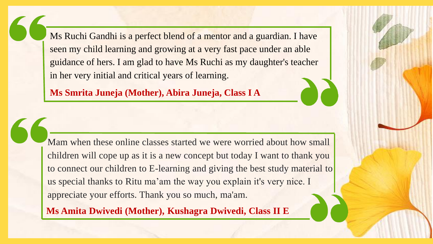Ms Ruchi Gandhi is a perfect blend of a mentor and a guardian. I have seen my child learning and growing at a very fast pace under an able guidance of hers. I am glad to have Ms Ruchi as my daughter's teacher in her very initial and critical years of learning.

**Ms Smrita Juneja (Mother), Abira Juneja, Class I A**

Mam when these online classes started we were worried about how small children will cope up as it is a new concept but today I want to thank you to connect our children to E-learning and giving the best study material to us special thanks to Ritu ma'am the way you explain it's very nice. I appreciate your efforts. Thank you so much, ma'am.

**Ms Amita Dwivedi (Mother), Kushagra Dwivedi, Class II E**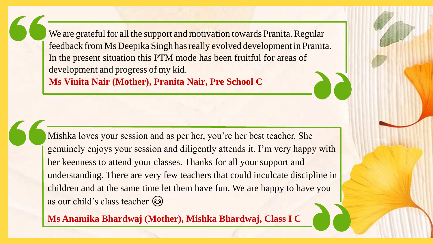We are grateful for all the support and motivation towards Pranita. Regular feedback from MsDeepika Singh hasreally evolved development in Pranita. In the present situation this PTM mode has been fruitful for areas of development and progress of my kid. **Ms Vinita Nair (Mother), Pranita Nair, Pre School C**

Mishka loves your session and as per her, you're her best teacher. She genuinely enjoys your session and diligently attends it. I'm very happy with her keenness to attend your classes. Thanks for all your support and understanding. There are very few teachers that could inculcate discipline in children and at the same time let them have fun. We are happy to have you as our child's class teacher

**Ms Anamika Bhardwaj (Mother), Mishka Bhardwaj, Class I C**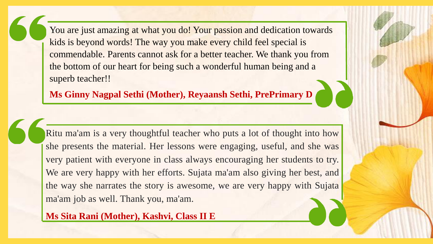You are just amazing at what you do! Your passion and dedication towards kids is beyond words! The way you make every child feel special is commendable. Parents cannot ask for a better teacher. We thank you from the bottom of our heart for being such a wonderful human being and a superb teacher!!

**Ms Ginny Nagpal Sethi (Mother), Reyaansh Sethi, PrePrimary D**

Ritu ma'am is a very thoughtful teacher who puts a lot of thought into how she presents the material. Her lessons were engaging, useful, and she was very patient with everyone in class always encouraging her students to try. We are very happy with her efforts. Sujata ma'am also giving her best, and the way she narrates the story is awesome, we are very happy with Sujata ma'am job as well. Thank you, ma'am.

**Ms Sita Rani (Mother), Kashvi, Class II E**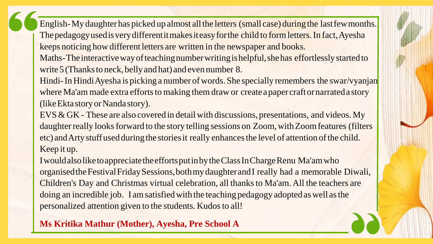English-My daughter has picked up almost all the letters (small case) during the last few months. The pedagogy used is very different it makes it easy for the child to form letters. In fact, Ayesha keeps noticing how different letters are written in the newspaper and books.

Maths-The interactive way of teaching number writing is helpful, she has effortlessly started to write 5 (Thanks to neck, belly and hat) and even number 8.

Hindi-In Hindi Ayesha is picking a number of words. She specially remembers the swar/vyanjan where Ma'am made extra efforts to making them draw or create a paper craft or narrated a story (like Ekta story or Nanda story).

EVS & GK - These are also covered in detail with discussions, presentations, and videos. My daughter really looks forward to the story telling sessions on Zoom, with Zoom features (filters etc) and Arty stuff used during the stories it really enhances the level of attention of the child. Keep it up.

IwouldalsoliketoappreciatetheeffortsputinbytheClassInChargeRenu Ma'amwho organisedtheFestivalFridaySessions,bothmydaughterandI really had a memorable Diwali, Children's Day and Christmas virtual celebration, all thanks to Ma'am. All the teachers are doing an incredible job. I am satisfied with the teaching pedagogy adopted as well as the personalized attention given to the students. Kudos to all!

**Ms Kritika Mathur (Mother), Ayesha, Pre School A**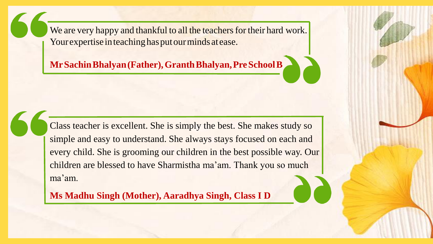We are very happy and thankful to all the teachers for their hard work. Your expertise in teaching has put our minds at ease.

**MrSachinBhalyan(Father),GranthBhalyan,PreSchoolB**

Class teacher is excellent. She is simply the best. She makes study so simple and easy to understand. She always stays focused on each and every child. She is grooming our children in the best possible way. Our children are blessed to have Sharmistha ma'am. Thank you so much ma'am.

**Ms Madhu Singh (Mother), Aaradhya Singh, Class I D**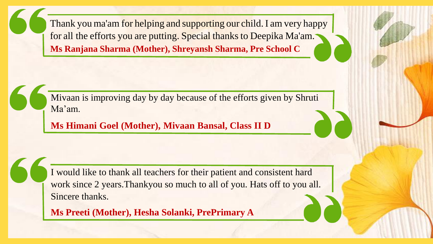Thank you ma'am for helping and supporting our child. I am very happy for all the efforts you are putting. Special thanks to Deepika Ma'am. **Ms Ranjana Sharma (Mother), Shreyansh Sharma, Pre School C**

Mivaan is improving day by day because of the efforts given by Shruti Ma'am.

**Ms Himani Goel (Mother), Mivaan Bansal, Class II D**

I would like to thank all teachers for their patient and consistent hard work since 2 years.Thankyou so much to all of you. Hats off to you all. Sincere thanks.

**Ms Preeti (Mother), Hesha Solanki, PrePrimary A**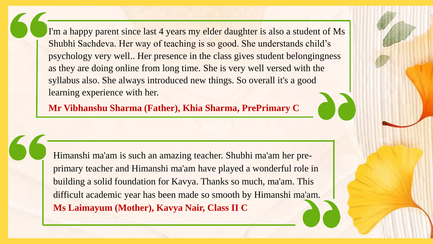I'm a happy parent since last 4 years my elder daughter is also a student of Ms Shubhi Sachdeva. Her way of teaching is so good. She understands child's psychology very well.. Her presence in the class gives student belongingness as they are doing online from long time. She is very well versed with the syllabus also. She always introduced new things. So overall it's a good learning experience with her.

**Mr Vibhanshu Sharma (Father), Khia Sharma, PrePrimary C**

Himanshi ma'am is such an amazing teacher. Shubhi ma'am her preprimary teacher and Himanshi ma'am have played a wonderful role in building a solid foundation for Kavya. Thanks so much, ma'am. This difficult academic year has been made so smooth by Himanshi ma'am. **Ms Laimayum (Mother), Kavya Nair, Class II C**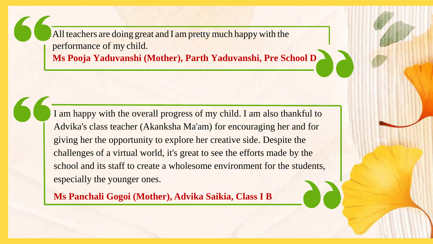All teachers are doing great and I am pretty much happy with the performance of my child.

**Ms Pooja Yaduvanshi (Mother), Parth Yaduvanshi, Pre School D**

I am happy with the overall progress of my child. I am also thankful to Advika's class teacher (Akanksha Ma'am) for encouraging her and for giving her the opportunity to explore her creative side. Despite the challenges of a virtual world, it's great to see the efforts made by the school and its staff to create a wholesome environment for the students, especially the younger ones.

**Ms Panchali Gogoi (Mother), Advika Saikia, Class I B**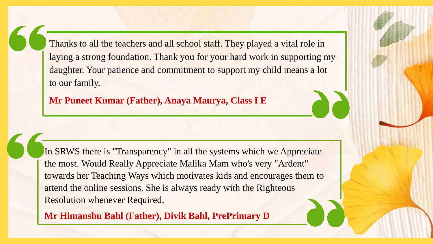Thanks to all the teachers and all school staff. They played a vital role in laying a strong foundation. Thank you for your hard work in supporting my daughter. Your patience and commitment to support my child means a lot to our family.

**Mr Puneet Kumar (Father), Anaya Maurya, Class I E**

In SRWS there is "Transparency" in all the systems which we Appreciate the most. Would Really Appreciate Malika Mam who's very "Ardent" towards her Teaching Ways which motivates kids and encourages them to attend the online sessions. She is always ready with the Righteous Resolution whenever Required.

**Mr Himanshu Bahl (Father), Divik Bahl, PrePrimary D**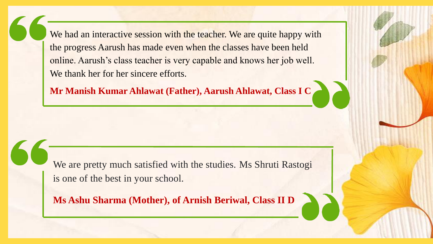We had an interactive session with the teacher. We are quite happy with the progress Aarush has made even when the classes have been held online. Aarush's class teacher is very capable and knows her job well. We thank her for her sincere efforts.

**Mr Manish Kumar Ahlawat (Father), Aarush Ahlawat, Class I C**

We are pretty much satisfied with the studies. Ms Shruti Rastogi is one of the best in your school.

**Ms Ashu Sharma (Mother), of Arnish Beriwal, Class II D**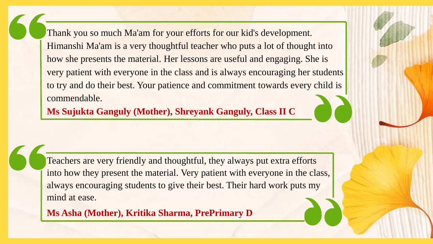Thank you so much Ma'am for your efforts for our kid's development. Himanshi Ma'am is a very thoughtful teacher who puts a lot of thought into how she presents the material. Her lessons are useful and engaging. She is very patient with everyone in the class and is always encouraging her students to try and do their best. Your patience and commitment towards every child is commendable.

**Ms Sujukta Ganguly (Mother), Shreyank Ganguly, Class II C**

Teachers are very friendly and thoughtful, they always put extra efforts into how they present the material. Very patient with everyone in the class, always encouraging students to give their best. Their hard work puts my mind at ease.

**Ms Asha (Mother), Kritika Sharma, PrePrimary D**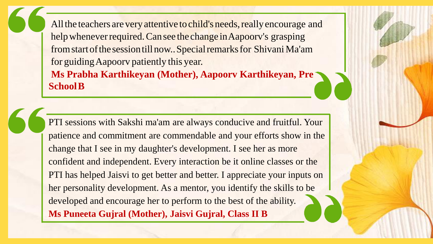All the teachers are very attentive to child's needs, really encourage and help whenever required. Can see the change in Aapoory's grasping from start of the session till now.. Special remarks for Shivani Ma'am for guidingAapoorv patiently this year.

**Ms Prabha Karthikeyan (Mother), Aapoorv Karthikeyan, Pre SchoolB**

PTI sessions with Sakshi ma'am are always conducive and fruitful. Your patience and commitment are commendable and your efforts show in the change that I see in my daughter's development. I see her as more confident and independent. Every interaction be it online classes or the PTI has helped Jaisvi to get better and better. I appreciate your inputs on her personality development. As a mentor, you identify the skills to be developed and encourage her to perform to the best of the ability. **Ms Puneeta Gujral (Mother), Jaisvi Gujral, Class II B**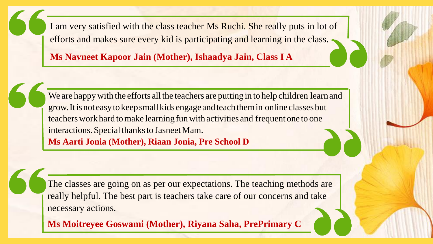I am very satisfied with the class teacher Ms Ruchi. She really puts in lot of efforts and makes sure every kid is participating and learning in the class.

**Ms Navneet Kapoor Jain (Mother), Ishaadya Jain, Class I A**

We are happy with the efforts all the teachers are putting in to help children learn and grow.Itisnoteasytokeepsmallkids engageandteachthemin online classesbut teachers work hard to make learning fun with activities and frequent one to one interactions. Special thanks to Jasneet Mam. **Ms Aarti Jonia (Mother), Riaan Jonia, Pre School D**

The classes are going on as per our expectations. The teaching methods are really helpful. The best part is teachers take care of our concerns and take necessary actions.

**Ms Moitreyee Goswami (Mother), Riyana Saha, PrePrimary C**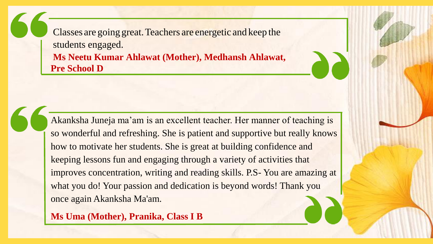Classes are going great.Teachers are energetic and keep the students engaged. **Ms Neetu Kumar Ahlawat (Mother), Medhansh Ahlawat, Pre School D**

Akanksha Juneja ma'am is an excellent teacher. Her manner of teaching is so wonderful and refreshing. She is patient and supportive but really knows how to motivate her students. She is great at building confidence and keeping lessons fun and engaging through a variety of activities that improves concentration, writing and reading skills. P.S- You are amazing at what you do! Your passion and dedication is beyond words! Thank you once again Akanksha Ma'am.

**Ms Uma (Mother), Pranika, Class I B**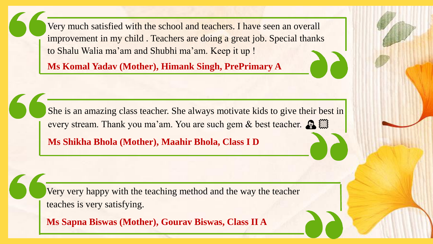Very much satisfied with the school and teachers. I have seen an overall improvement in my child . Teachers are doing a great job. Special thanks to Shalu Walia ma'am and Shubhi ma'am. Keep it up !

**Ms Komal Yadav (Mother), Himank Singh, PrePrimary A**

She is an amazing class teacher. She always motivate kids to give their best in every stream. Thank you ma'am. You are such gem & best teacher.  $\mathbb{R}$ 

**Ms Shikha Bhola (Mother), Maahir Bhola, Class I D**

Very very happy with the teaching method and the way the teacher teaches is very satisfying.

**Ms Sapna Biswas (Mother), Gourav Biswas, Class II A**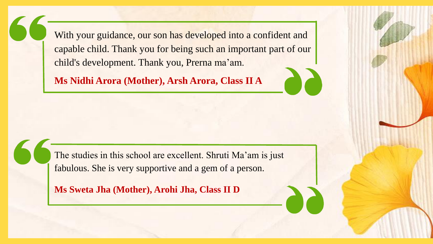With your guidance, our son has developed into a confident and capable child. Thank you for being such an important part of our child's development. Thank you, Prerna ma'am.

**Ms Nidhi Arora (Mother), Arsh Arora, Class II A**

The studies in this school are excellent. Shruti Ma'am is just fabulous. She is very supportive and a gem of a person.

**Ms Sweta Jha (Mother), Arohi Jha, Class II D**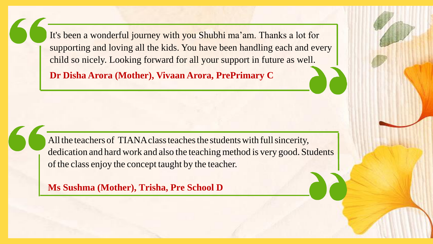It's been a wonderful journey with you Shubhi ma'am. Thanks a lot for supporting and loving all the kids. You have been handling each and every child so nicely. Looking forward for all your support in future as well.

**Dr Disha Arora (Mother), Vivaan Arora, PrePrimary C**

All the teachers of TIANA class teaches the students with full sincerity, dedication and hard work and also the teaching method is very good. Students of the class enjoy the concept taught by the teacher.

**Ms Sushma (Mother), Trisha, Pre School D**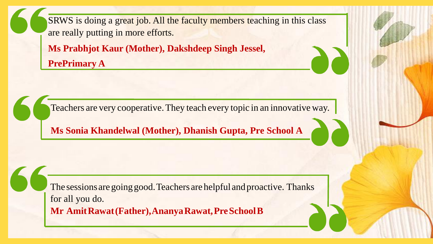SRWS is doing a great job. All the faculty members teaching in this class are really putting in more efforts.

**Ms Prabhjot Kaur (Mother), Dakshdeep Singh Jessel, PrePrimary A**

Teachers are very cooperative.They teach every topic in an innovative way.

**Ms Sonia Khandelwal (Mother), Dhanish Gupta, Pre School A**

The sessions are going good. Teachers are helpful and proactive. Thanks for all you do. **Mr AmitRawat(Father),AnanyaRawat,PreSchoolB**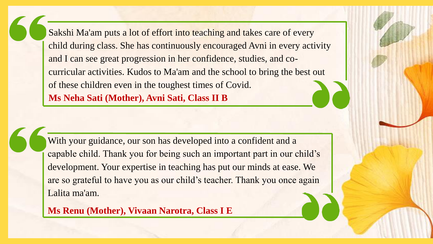Sakshi Ma'am puts a lot of effort into teaching and takes care of every child during class. She has continuously encouraged Avni in every activity and I can see great progression in her confidence, studies, and cocurricular activities. Kudos to Ma'am and the school to bring the best out of these children even in the toughest times of Covid. **Ms Neha Sati (Mother), Avni Sati, Class II B**

With your guidance, our son has developed into a confident and a capable child. Thank you for being such an important part in our child's development. Your expertise in teaching has put our minds at ease. We are so grateful to have you as our child's teacher. Thank you once again Lalita ma'am.

**Ms Renu (Mother), Vivaan Narotra, Class I E**